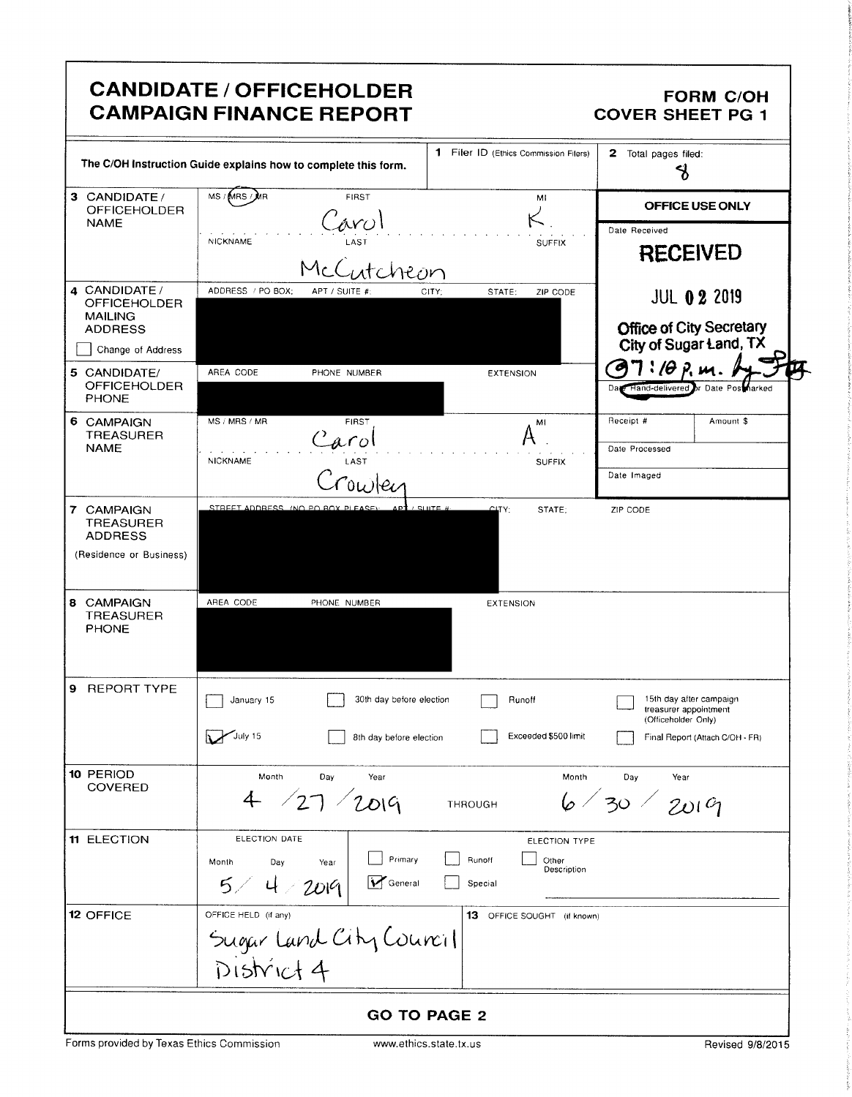|                                                     | <b>CANDIDATE / OFFICEHOLDER</b><br><b>CAMPAIGN FINANCE REPORT</b> |                                           | <b>FORM C/OH</b><br><b>COVER SHEET PG 1</b>               |
|-----------------------------------------------------|-------------------------------------------------------------------|-------------------------------------------|-----------------------------------------------------------|
|                                                     | The C/OH Instruction Guide explains how to complete this form.    | 1 Filer ID (Ethics Commission Filers)     | 2.<br>Total pages filed:<br>$\mathcal{S}$                 |
| 3 CANDIDATE /<br><b>OFFICEHOLDER</b>                | MS / MRS / MR<br><b>FIRST</b>                                     | MI                                        | OFFICE USE ONLY                                           |
| <b>NAME</b>                                         | Carol                                                             |                                           | Date Received                                             |
|                                                     | NICKNAME<br>McCutcheon                                            | <b>SUFFIX</b>                             | <b>RECEIVED</b>                                           |
| 4 CANDIDATE /<br><b>OFFICEHOLDER</b>                | ADDRESS / PO BOX:<br>APT / SUITE #:                               | STATE:<br>ZIP CODE<br>CITY:               | <b>JUL 0 2 2019</b>                                       |
| <b>MAILING</b><br><b>ADDRESS</b>                    |                                                                   |                                           | <b>Office of City Secretary</b><br>City of Sugar Land, TX |
| Change of Address                                   |                                                                   |                                           | $7$ : 10 p.m.                                             |
| 5 CANDIDATE/<br><b>OFFICEHOLDER</b><br><b>PHONE</b> | AREA CODE<br>PHONE NUMBER                                         | <b>EXTENSION</b>                          | Date Hand-delivered or Date Postharked                    |
| 6 CAMPAIGN<br><b>TREASURER</b>                      | MS / MRS / MR<br><b>FIRST</b>                                     | MI                                        | Receipt #<br>Amount \$                                    |
| <b>NAME</b>                                         | Carol<br>LAST<br><b>NICKNAME</b>                                  |                                           | Date Processed                                            |
|                                                     |                                                                   | <b>SUFFIX</b>                             | Date Imaged                                               |
| 7 CAMPAIGN<br><b>TREASURER</b><br><b>ADDRESS</b>    | STREET ADDRESS (NO PO BOX PLEASE):<br>APT / SHITE #               | CITY:<br>STATE:                           | ZIP CODE                                                  |
| (Residence or Business)                             |                                                                   |                                           |                                                           |
| 8 CAMPAIGN<br><b>TREASURER</b><br><b>PHONE</b>      | AREA CODE<br>PHONE NUMBER                                         | <b>EXTENSION</b>                          |                                                           |
| 9 REPORT TYPE                                       | 30th day before election<br>January 15                            | Runoff                                    | 15th day after campaign<br>treasurer appointment          |
|                                                     | $\sum$ July 15<br>8th day before election                         | Exceeded \$500 limit                      | (Officeholder Only)<br>Final Report (Attach C/OH - FR)    |
| 10 PERIOD<br>COVERED                                | Month<br>Day<br>Year<br>4 / 27 / 2019                             | Month<br>THROUGH                          | Day<br>Year<br>6/30/2019                                  |
| <b>11 ELECTION</b>                                  | ELECTION DATE                                                     | ELECTION TYPE                             |                                                           |
|                                                     | Primary<br>Month<br>Day<br>Year<br>General<br>5/4/2019            | Runoff<br>Other<br>Description<br>Special |                                                           |
| 12 OFFICE                                           | OFFICE HELD (if any)                                              | 13 OFFICE SOUGHT (if known)               |                                                           |
|                                                     |                                                                   |                                           |                                                           |
|                                                     | Sugar Land City Council                                           |                                           |                                                           |
|                                                     |                                                                   | <b>GO TO PAGE 2</b>                       |                                                           |

f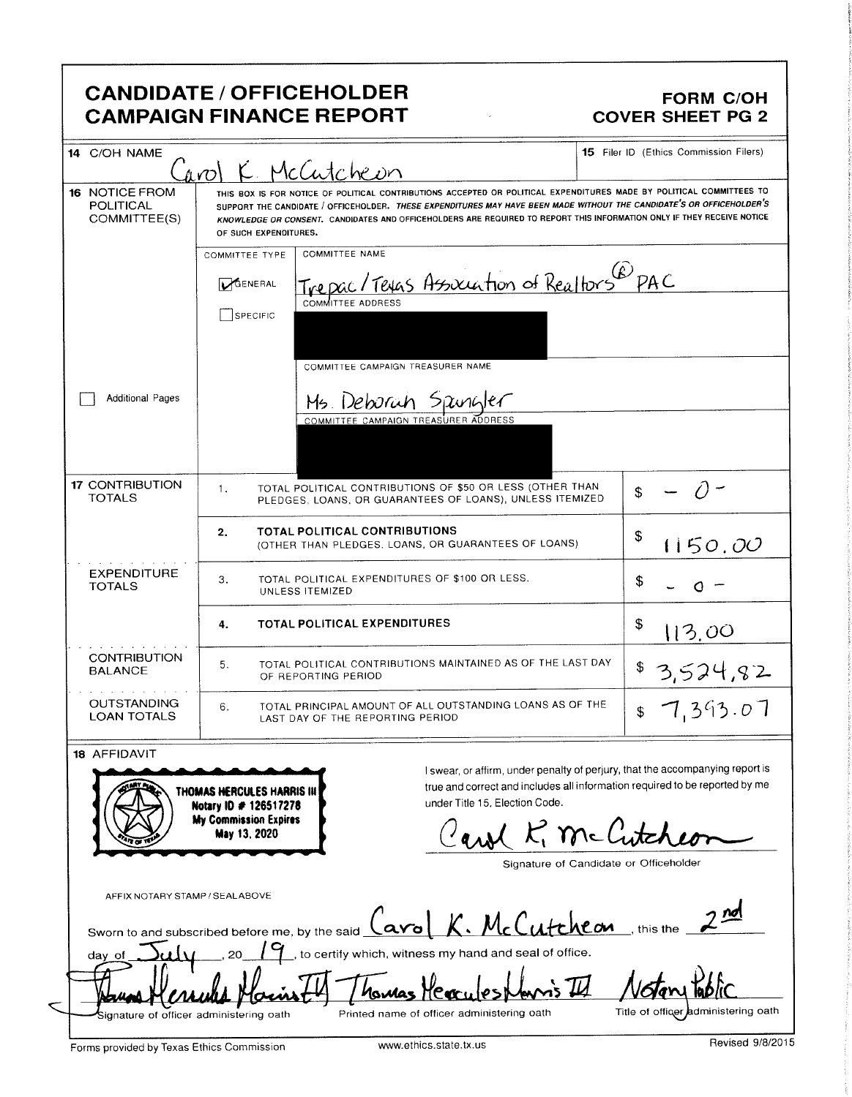# **CANDIDATE / OFFICEHOLDER CAMPAIGN FINANCE REPORT**

#### FORM C/OH **COVER SHEET PG 2**

| 14 C/OH NAME                                |                                                    | Carol K. McCutcheon                                                                                                                                                                                                                                                                                                                                                     | 15 Filer ID (Ethics Commission Filers)                                        |
|---------------------------------------------|----------------------------------------------------|-------------------------------------------------------------------------------------------------------------------------------------------------------------------------------------------------------------------------------------------------------------------------------------------------------------------------------------------------------------------------|-------------------------------------------------------------------------------|
| 16 NOTICE FROM<br>POLITICAL<br>COMMITTEE(S) | OF SUCH EXPENDITURES.                              | THIS BOX IS FOR NOTICE OF POLITICAL CONTRIBUTIONS ACCEPTED OR POLITICAL EXPENDITURES MADE BY POLITICAL COMMITTEES TO<br>SUPPORT THE CANDIDATE / OFFICEHOLDER. THESE EXPENDITURES MAY HAVE BEEN MADE WITHOUT THE CANDIDATE'S OR OFFICEHOLDER'S<br>KNOWLEDGE OR CONSENT. CANDIDATES AND OFFICEHOLDERS ARE REQUIRED TO REPORT THIS INFORMATION ONLY IF THEY RECEIVE NOTICE |                                                                               |
|                                             | <b>COMMITTEE TYPE</b>                              | <b>COMMITTEE NAME</b>                                                                                                                                                                                                                                                                                                                                                   |                                                                               |
|                                             | <b>DGENERAL</b>                                    | Texas Association of Realtors PAC                                                                                                                                                                                                                                                                                                                                       |                                                                               |
|                                             | SPECIFIC                                           | COMMITTEE ADDRESS                                                                                                                                                                                                                                                                                                                                                       |                                                                               |
|                                             |                                                    | COMMITTEE CAMPAIGN TREASURER NAME                                                                                                                                                                                                                                                                                                                                       |                                                                               |
| <b>Additional Pages</b>                     |                                                    | Ms Deborah Spungler                                                                                                                                                                                                                                                                                                                                                     |                                                                               |
|                                             |                                                    | COMMITTEE CAMPAIGN TREASURER ADDRESS                                                                                                                                                                                                                                                                                                                                    |                                                                               |
| <b>17 CONTRIBUTION</b><br><b>TOTALS</b>     | 1.                                                 | TOTAL POLITICAL CONTRIBUTIONS OF \$50 OR LESS (OTHER THAN<br>PLEDGES, LOANS, OR GUARANTEES OF LOANS), UNLESS ITEMIZED                                                                                                                                                                                                                                                   |                                                                               |
|                                             | 2.                                                 | TOTAL POLITICAL CONTRIBUTIONS<br>(OTHER THAN PLEDGES, LOANS, OR GUARANTEES OF LOANS)                                                                                                                                                                                                                                                                                    | \$<br>1150.00                                                                 |
| <b>EXPENDITURE</b><br><b>TOTALS</b>         | З.                                                 | TOTAL POLITICAL EXPENDITURES OF \$100 OR LESS.<br>UNLESS ITEMIZED                                                                                                                                                                                                                                                                                                       | \$                                                                            |
|                                             | 4.                                                 | <b>TOTAL POLITICAL EXPENDITURES</b>                                                                                                                                                                                                                                                                                                                                     | \$<br>113.00                                                                  |
| <b>CONTRIBUTION</b><br><b>BALANCE</b>       | 5.                                                 | TOTAL POLITICAL CONTRIBUTIONS MAINTAINED AS OF THE LAST DAY<br>OF REPORTING PERIOD                                                                                                                                                                                                                                                                                      | 3,524,82                                                                      |
| <b>OUTSTANDING</b><br><b>LOAN TOTALS</b>    | 6.                                                 | TOTAL PRINCIPAL AMOUNT OF ALL OUTSTANDING LOANS AS OF THE<br>LAST DAY OF THE REPORTING PERIOD                                                                                                                                                                                                                                                                           | 7,393.07                                                                      |
| <b>18 AFFIDAVIT</b>                         |                                                    |                                                                                                                                                                                                                                                                                                                                                                         | I swear, or affirm, under penalty of perjury, that the accompanying report is |
|                                             | THOMAS HERCULES HARRIS IN<br>Notary ID # 126517278 | under Title 15, Election Code.                                                                                                                                                                                                                                                                                                                                          | true and correct and includes all information required to be reported by me   |
|                                             | <b>My Commission Expires</b><br>May 13, 2020       |                                                                                                                                                                                                                                                                                                                                                                         | K. McCutch                                                                    |
|                                             |                                                    |                                                                                                                                                                                                                                                                                                                                                                         | Signature of Candidate or Officeholder                                        |
| AFFIX NOTARY STAMP / SEALABOVE              |                                                    | Sworn to and subscribed before me, by the said <u>(avo K. McCutcheon</u>                                                                                                                                                                                                                                                                                                | this the                                                                      |
| day of                                      |                                                    | to certify which, witness my hand and seal of office.                                                                                                                                                                                                                                                                                                                   |                                                                               |
|                                             |                                                    | Manday                                                                                                                                                                                                                                                                                                                                                                  |                                                                               |
| Signature of officer administering oath     |                                                    | Printed name of officer administering oath                                                                                                                                                                                                                                                                                                                              | Title of officer administering oath                                           |
| Forms provided by Texas Ethics Commission   |                                                    | www.ethics.state.tx.us                                                                                                                                                                                                                                                                                                                                                  | Revised 9/8/201                                                               |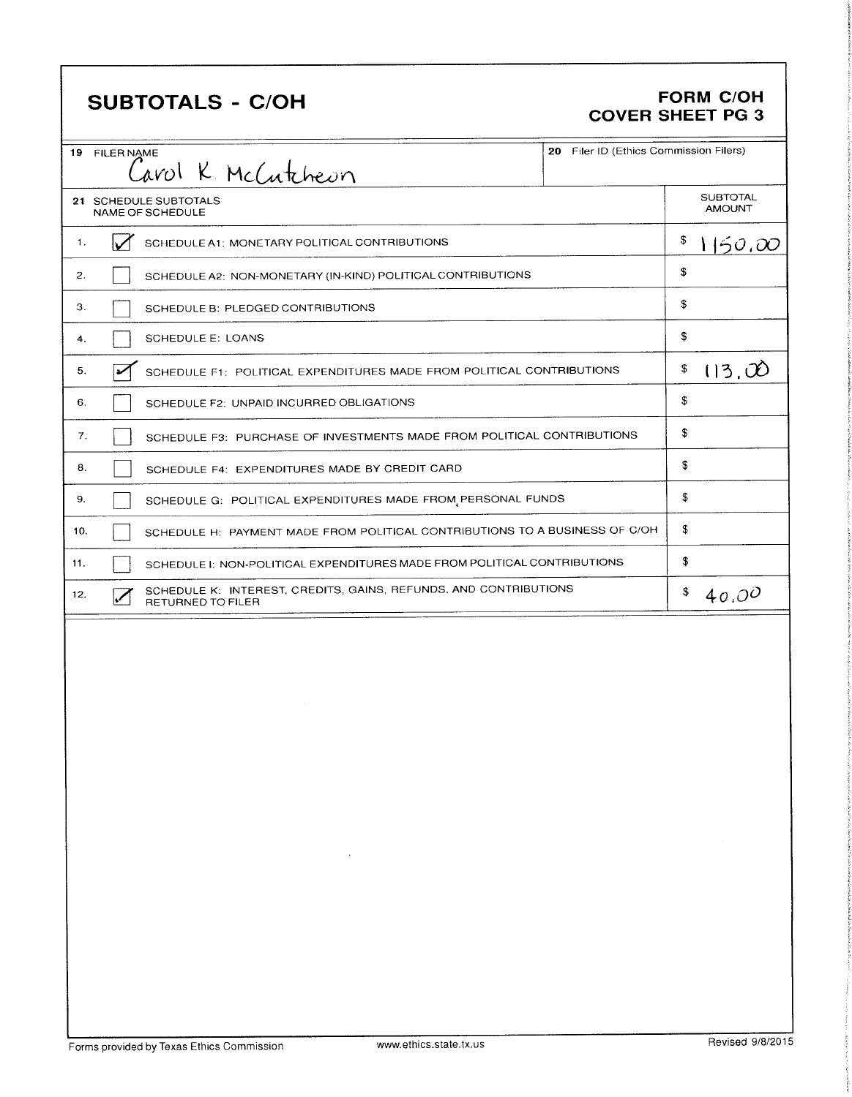# **SUBTOTALS - C/OH**

#### **FORM C/OH COVER SHEET PG 3**

| 19 FILER NAME                             |                                                                                       | 20 Filer ID (Ethics Commission Filers) |                                  |
|-------------------------------------------|---------------------------------------------------------------------------------------|----------------------------------------|----------------------------------|
|                                           | Carol K. McCutcheon                                                                   |                                        |                                  |
| 21 SCHEDULE SUBTOTALS<br>NAME OF SCHEDULE |                                                                                       |                                        | <b>SUBTOTAL</b><br><b>TAUOMA</b> |
| 1.                                        | SCHEDULE A1: MONETARY POLITICAL CONTRIBUTIONS                                         |                                        | \$<br>1150.00                    |
| 2.                                        | SCHEDULE A2: NON-MONETARY (IN-KIND) POLITICAL CONTRIBUTIONS                           |                                        | \$                               |
| 3.                                        | SCHEDULE B: PLEDGED CONTRIBUTIONS                                                     |                                        | \$                               |
| 4.                                        | SCHEDULE E: LOANS                                                                     |                                        | \$                               |
| 5.                                        | SCHEDULE F1: POLITICAL EXPENDITURES MADE FROM POLITICAL CONTRIBUTIONS                 |                                        | \$<br>(13,00)                    |
| 6.                                        | SCHEDULE F2: UNPAID INCURRED OBLIGATIONS                                              |                                        | \$                               |
| 7.                                        | SCHEDULE F3: PURCHASE OF INVESTMENTS MADE FROM POLITICAL CONTRIBUTIONS                |                                        | \$                               |
| 8.                                        | SCHEDULE F4: EXPENDITURES MADE BY CREDIT CARD                                         |                                        | \$                               |
| 9.                                        | SCHEDULE G: POLITICAL EXPENDITURES MADE FROM PERSONAL FUNDS                           |                                        | \$                               |
| 10.                                       | SCHEDULE H: PAYMENT MADE FROM POLITICAL CONTRIBUTIONS TO A BUSINESS OF C/OH           |                                        | \$                               |
| 11.                                       | SCHEDULE I: NON-POLITICAL EXPENDITURES MADE FROM POLITICAL CONTRIBUTIONS              |                                        | \$                               |
| 12.                                       | SCHEDULE K: INTEREST, CREDITS, GAINS, REFUNDS, AND CONTRIBUTIONS<br>RETURNED TO FILER |                                        | \$<br>40.0 <sup>o</sup>          |
|                                           |                                                                                       |                                        |                                  |
|                                           |                                                                                       |                                        |                                  |
|                                           |                                                                                       |                                        |                                  |
|                                           |                                                                                       |                                        |                                  |
|                                           |                                                                                       |                                        |                                  |
|                                           |                                                                                       |                                        |                                  |
|                                           |                                                                                       |                                        |                                  |
|                                           |                                                                                       |                                        |                                  |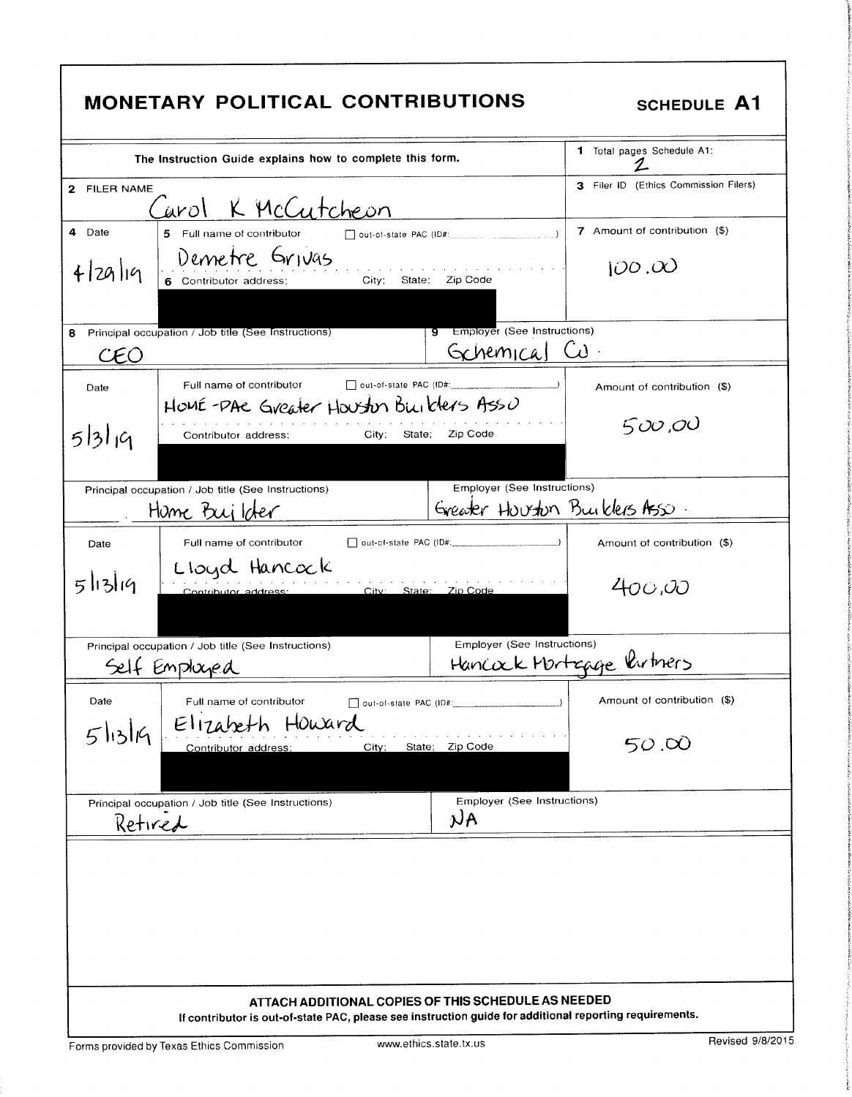| <b>MONETARY POLITICAL CONTRIBUTIONS</b>                                                                                                                        | <b>SCHEDULE A1</b>                    |
|----------------------------------------------------------------------------------------------------------------------------------------------------------------|---------------------------------------|
| The instruction Guide explains how to complete this form.                                                                                                      | 1 Total pages Schedule A1:<br>2.      |
| 2 FILER NAME<br>Carol K McCutcheon                                                                                                                             | 3 Filer ID (Ethics Commission Filers) |
| 4 Date<br>5 Full name of contributor<br>out-of-state PAC (ID#:                                                                                                 | 7 Amount of contribution (\$)         |
| Demetre Grivas<br>4 29 19<br>City; State: Zip Code<br>6 Contributor address;                                                                                   | 100,00                                |
| 9 Employer (See Instructions)<br>Principal occupation / Job title (See Instructions)<br>8<br>General Cu<br>CEO                                                 |                                       |
| Full name of contributor<br>out-of-state PAC (ID#: 2000)<br>Date<br>HOME-PAE Greater Houston Builders Asso                                                     | Amount of contribution (\$)           |
| 5/3/19<br>- Zip Code<br>State;<br>City;<br>Contributor address:                                                                                                | 500,00                                |
| Employer (See Instructions)<br>Principal occupation / Job title (See Instructions)<br>Home Builder                                                             | Greater Houston Builders Ass.         |
| out-of-state PAC (ID#:<br>Full name of contributor<br>Date                                                                                                     | Amount of contribution (\$)           |
| Lloyd Hancock<br>5/13/19<br>City: State: Zip Code<br>Contributor address:                                                                                      | 400.00                                |
| Employer (See Instructions)<br>Principal occupation / Job title (See Instructions)<br>Self Employed                                                            | Hancock Mortagge Vartners             |
| out-of-state PAC (ID#:<br>Date<br>Full name of contributor<br>Elizabeth Howard                                                                                 | Amount of contribution (\$)           |
| $5$ lislig<br>State; Zip Code<br>City;<br>Contributor address;                                                                                                 | 50.00                                 |
| Principal occupation / Job title (See Instructions)<br>$\mathcal{N}$ A<br>Retired                                                                              | Employer (See Instructions)           |
|                                                                                                                                                                |                                       |
| ATTACH ADDITIONAL COPIES OF THIS SCHEDULE AS NEEDED<br>If contributor is out-of-state PAC, please see instruction guide for additional reporting requirements. |                                       |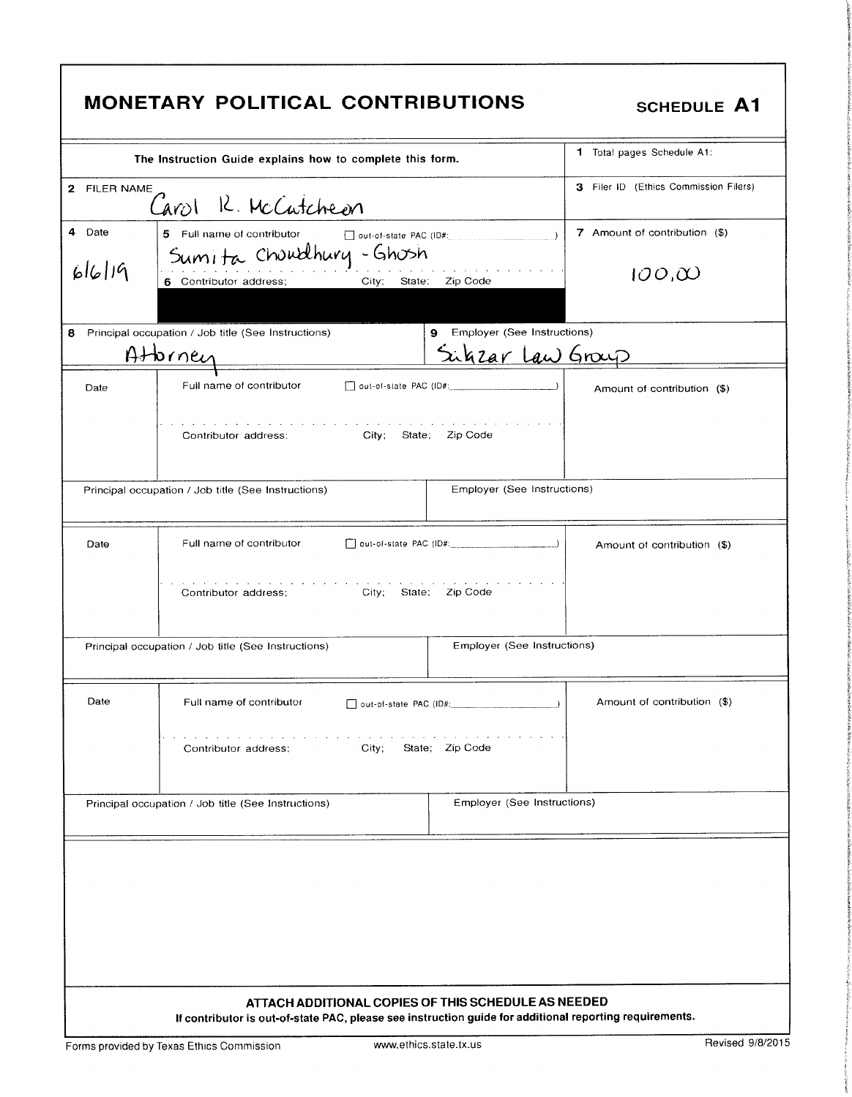| MONETARY POLITICAL CONTRIBUTIONS<br>SCHEDULE A1<br>1 Total pages Schedule A1:<br>The Instruction Guide explains how to complete this form.<br>3 Filer ID (Ethics Commission Filers)                                                                          |  |  |  |
|--------------------------------------------------------------------------------------------------------------------------------------------------------------------------------------------------------------------------------------------------------------|--|--|--|
| 2 FILER NAME<br>Carol R. McCatcheon<br>4 Date 5 Full name of contributor<br>6 Chu Walhury - Ghu Sh<br>6 Contributor address: City: State: Zip Code<br>$\begin{array}{c c} \hline \end{array}$ 7 Amount of contribution (\$)<br>100,00                        |  |  |  |
| 8 Principal occupation / Job title (See Instructions)<br>9 Employer (See Instructions)<br>Sukzar Law Group<br>Attorney                                                                                                                                       |  |  |  |
| Date<br>$\mathcal{L}^{\mathcal{A}}$ and $\mathcal{L}^{\mathcal{A}}$ are the set of the set of the set of $\mathcal{L}^{\mathcal{A}}$<br>the contract of the contract of the contract of the contract of the<br>City; State; Zip Code<br>Contributor address: |  |  |  |
| Principal occupation / Job title (See Instructions)<br><b>Employer (See Instructions)</b><br>$\Box$ Amount of contribution (\$)                                                                                                                              |  |  |  |
| Contributor address; City; State; Zip Code<br>Principal occupation / Job title (See Instructions)<br>Employer (See Instructions)                                                                                                                             |  |  |  |
| $\overline{a}$ Date $\overline{a}$ Full name of contributor $\overline{a}$ out-of-state PAC (ID#:<br>Amount of contribution (\$)<br>Contributor address; City; State; Zip Code                                                                               |  |  |  |
| Employer (See Instructions)<br>Principal occupation / Job title (See Instructions)                                                                                                                                                                           |  |  |  |
|                                                                                                                                                                                                                                                              |  |  |  |
| ATTACH ADDITIONAL COPIES OF THIS SCHEDULE AS NEEDED<br>If contributor is out-of-state PAC, please see instruction guide for additional reporting requirements.                                                                                               |  |  |  |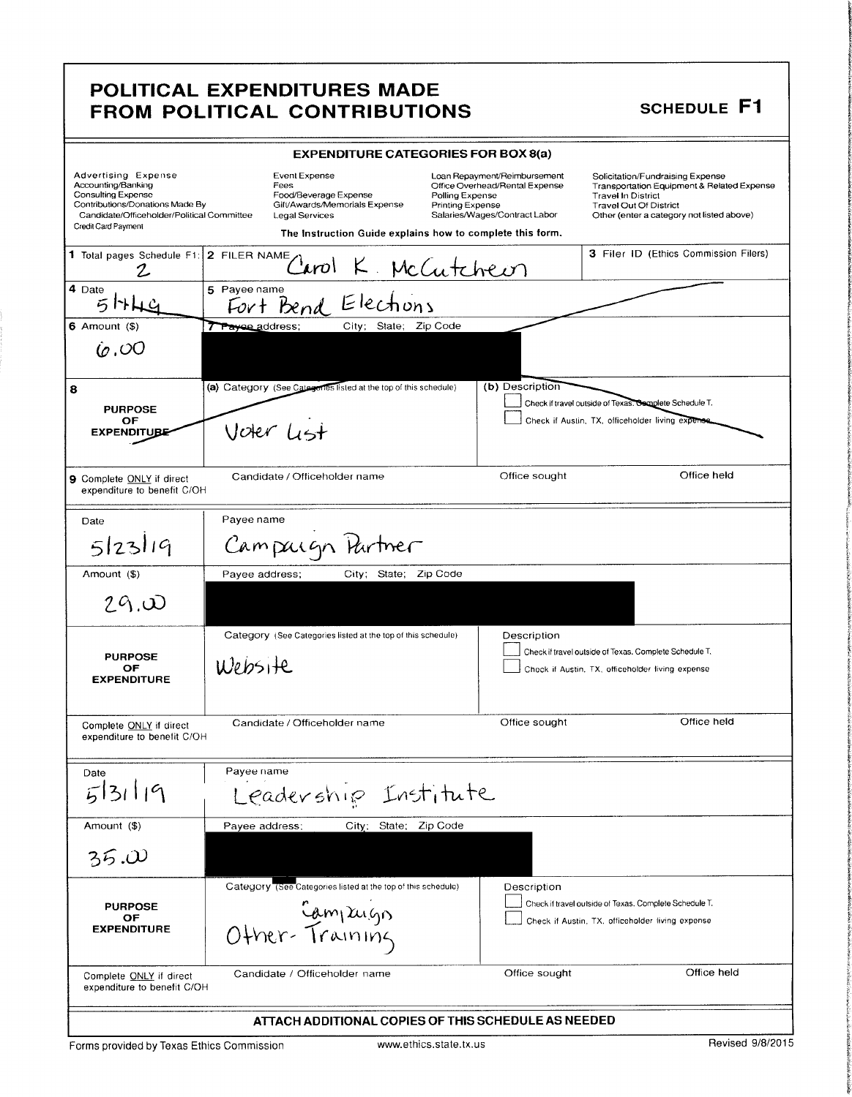### POLITICAL EXPENDITURES MADE FROM POLITICAL CONTRIBUTIONS

## SCHEDULE F1

|                                                                                                                                                                         | <b>EXPENDITURE CATEGORIES FOR BOX 8(a)</b>                                                                                                                                                                   |                                                                                                 |                                                                                                                                                                                           |
|-------------------------------------------------------------------------------------------------------------------------------------------------------------------------|--------------------------------------------------------------------------------------------------------------------------------------------------------------------------------------------------------------|-------------------------------------------------------------------------------------------------|-------------------------------------------------------------------------------------------------------------------------------------------------------------------------------------------|
| Advertising Expense<br>Accounting/Banking<br>Consulting Expense<br>Contributions/Donations Made By<br>Candidate/Officeholder/Political Committee<br>Credit Card Payment | Event Expense<br>Fees<br>Food/Beverage Expense<br>Polling Expense<br>Gift/Awards/Memorials Expense<br>Printing Expense<br><b>Legal Services</b><br>The Instruction Guide explains how to complete this form. | Loan Repayment/Reimbursement<br>Office Overhead/Rental Expense<br>Salaries/Wages/Contract Labor | Solicitation/Fundraising Expense<br>Transportation Equipment & Related Expense<br><b>Travel In District</b><br><b>Travel Out Of District</b><br>Other (enter a category not listed above) |
| 1 Total pages Schedule F1:                                                                                                                                              | 2 FILER NAME<br>Carol K. McCutcheon                                                                                                                                                                          |                                                                                                 | 3 Filer ID (Ethics Commission Filers)                                                                                                                                                     |
| 4 Date                                                                                                                                                                  | 5 Payee name<br>Fort Bend Elections                                                                                                                                                                          |                                                                                                 |                                                                                                                                                                                           |
| $6$ Amount $(3)$                                                                                                                                                        | City; State; Zip Code<br>Trayee address;                                                                                                                                                                     |                                                                                                 |                                                                                                                                                                                           |
| (c,OO)                                                                                                                                                                  |                                                                                                                                                                                                              |                                                                                                 |                                                                                                                                                                                           |
| 8                                                                                                                                                                       | (a) Category (See Categories listed at the top of this schedule)                                                                                                                                             | (b) Description                                                                                 |                                                                                                                                                                                           |
| <b>PURPOSE</b><br>ОF                                                                                                                                                    |                                                                                                                                                                                                              |                                                                                                 | Check if travel outside of Texas. Complete Schedule T.<br>Check if Austin, TX, officeholder living expense.                                                                               |
| <b>EXPENDITUBE</b>                                                                                                                                                      | Voter List                                                                                                                                                                                                   |                                                                                                 |                                                                                                                                                                                           |
| 9 Complete ONLY if direct<br>expenditure to benefit C/OH                                                                                                                | Candidate / Officeholder name                                                                                                                                                                                | Office sought                                                                                   | Office held                                                                                                                                                                               |
| Date                                                                                                                                                                    | Payee name                                                                                                                                                                                                   |                                                                                                 |                                                                                                                                                                                           |
| 5 23 19                                                                                                                                                                 | Campaign Partner                                                                                                                                                                                             |                                                                                                 |                                                                                                                                                                                           |
| Amount (\$)                                                                                                                                                             | City, State; Zip Code<br>Payee address;                                                                                                                                                                      |                                                                                                 |                                                                                                                                                                                           |
| 29.0                                                                                                                                                                    |                                                                                                                                                                                                              |                                                                                                 |                                                                                                                                                                                           |
|                                                                                                                                                                         | Category (See Categories listed at the top of this schedule)                                                                                                                                                 | Description                                                                                     |                                                                                                                                                                                           |
| <b>PURPOSE</b>                                                                                                                                                          |                                                                                                                                                                                                              |                                                                                                 | Check if travel outside of Texas. Complete Schedule T.                                                                                                                                    |
| ОF<br><b>EXPENDITURE</b>                                                                                                                                                | Website                                                                                                                                                                                                      |                                                                                                 | Check if Austin, TX, officeholder living expense                                                                                                                                          |
| Complete ONLY if direct<br>expenditure to benefit C/OH                                                                                                                  | Candidate / Officeholder name                                                                                                                                                                                | Office sought                                                                                   | Office held                                                                                                                                                                               |
| Date                                                                                                                                                                    | Payee name                                                                                                                                                                                                   |                                                                                                 |                                                                                                                                                                                           |
| 5319                                                                                                                                                                    | Leadership Institute                                                                                                                                                                                         |                                                                                                 |                                                                                                                                                                                           |
| Amount (\$)                                                                                                                                                             | City; State; Zip Code<br>Payee address;                                                                                                                                                                      |                                                                                                 |                                                                                                                                                                                           |
| 35.00                                                                                                                                                                   |                                                                                                                                                                                                              |                                                                                                 |                                                                                                                                                                                           |
|                                                                                                                                                                         | Category (See Categories listed at the top of this schedule)                                                                                                                                                 | Description                                                                                     |                                                                                                                                                                                           |
| <b>PURPOSE</b>                                                                                                                                                          |                                                                                                                                                                                                              |                                                                                                 | Check if travel outside of Texas. Complete Schedule T.                                                                                                                                    |
| OF<br><b>EXPENDITURE</b>                                                                                                                                                | Campuign<br>Other-Training                                                                                                                                                                                   |                                                                                                 | Check if Austin, TX, officeholder living expense                                                                                                                                          |
| Complete ONLY if direct<br>expenditure to benefit C/OH                                                                                                                  | Candidate / Officeholder name                                                                                                                                                                                | Office sought                                                                                   | Office held                                                                                                                                                                               |
|                                                                                                                                                                         | ATTACH ADDITIONAL COPIES OF THIS SCHEDULE AS NEEDED                                                                                                                                                          |                                                                                                 |                                                                                                                                                                                           |

Forms provided by Texas Ethics Commission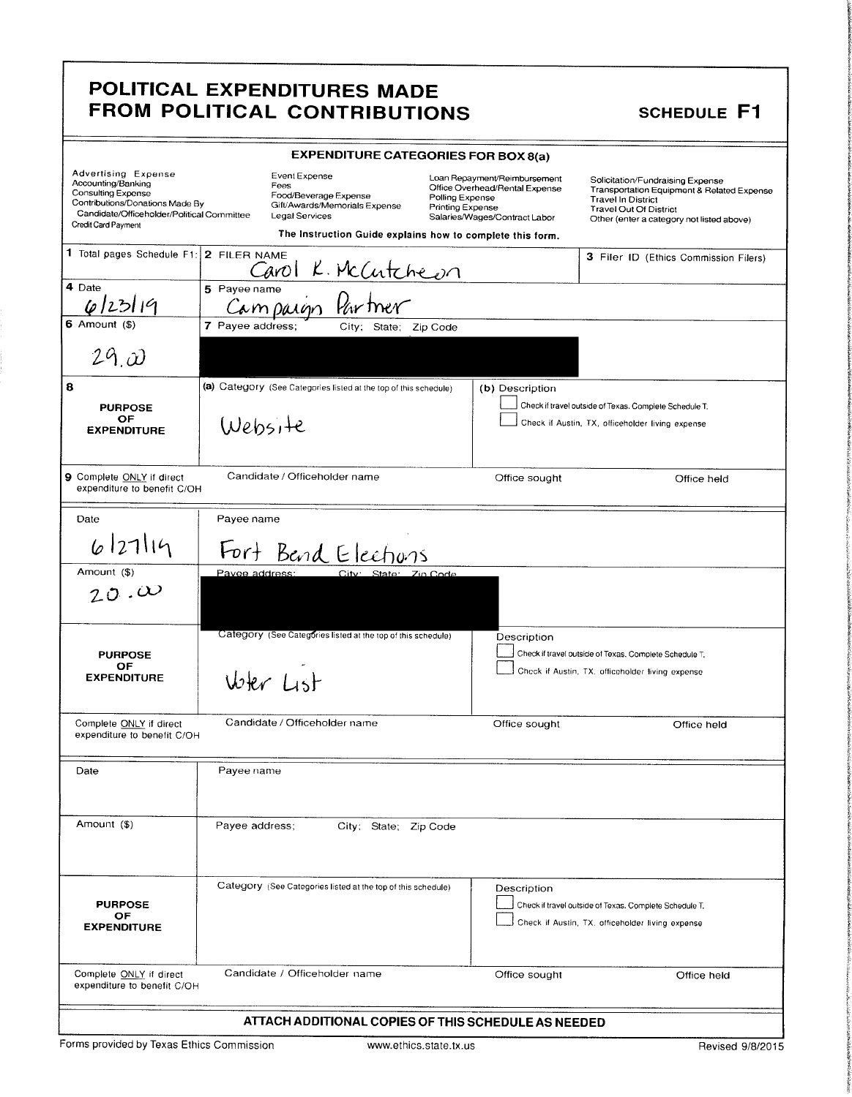# POLITICAL EXPENDITURES MADE FROM POLITICAL CONTRIBUTIONS SCHEDULE F1

interaction

the control

**THE SHAPE i** 

| <b>Advertising Expense</b><br>Accounting/Banking<br><b>Consulting Expense</b><br>Contributions/Donations Made By<br>Candidate/Officeholder/Political Committee<br>Credit Card Payment | <b>EXPENDITURE CATEGORIES FOR BOX 8(a)</b><br>Event Expense<br>Fees<br>Food/Beverage Expense<br>Polling Expense<br>Gift/Awards/Memorials Expense<br>Printing Expense<br><b>Legal Services</b><br>The Instruction Guide explains how to complete this form. | Loan Repayment/Reimbursement<br>Office Overhead/Rental Expense<br>Salaries/Wages/Contract Labor | Solicitation/Fundraising Expense<br>Transportation Equipment & Related Expense<br><b>Travel In District</b><br><b>Travel Out Of District</b><br>Other (enter a category not listed above) |
|---------------------------------------------------------------------------------------------------------------------------------------------------------------------------------------|------------------------------------------------------------------------------------------------------------------------------------------------------------------------------------------------------------------------------------------------------------|-------------------------------------------------------------------------------------------------|-------------------------------------------------------------------------------------------------------------------------------------------------------------------------------------------|
| 1 Total pages Schedule F1:                                                                                                                                                            | 2 FILER NAME<br>K. McCutcheon<br>Carol                                                                                                                                                                                                                     |                                                                                                 | 3 Filer ID (Ethics Commission Filers)                                                                                                                                                     |
| 4 Date<br>6/23/19                                                                                                                                                                     | 5 Payee name<br>Campaign Partner                                                                                                                                                                                                                           |                                                                                                 |                                                                                                                                                                                           |
| 6 Amount $($)$<br>$29\omega$                                                                                                                                                          | 7 Payee address;<br>City; State; Zip Code                                                                                                                                                                                                                  |                                                                                                 |                                                                                                                                                                                           |
| 8<br><b>PURPOSE</b>                                                                                                                                                                   | (a) Category (See Categories listed at the top of this schedule)                                                                                                                                                                                           | (b) Description                                                                                 | Check if travel outside of Texas. Complete Schedule T.                                                                                                                                    |
| OF<br><b>EXPENDITURE</b>                                                                                                                                                              | Website                                                                                                                                                                                                                                                    |                                                                                                 | Check if Austin, TX, officeholder living expense                                                                                                                                          |
| 9 Complete ONLY if direct<br>expenditure to benefit C/OH                                                                                                                              | Candidate / Officeholder name                                                                                                                                                                                                                              | Office sought                                                                                   | Office held                                                                                                                                                                               |
| Date                                                                                                                                                                                  | Payee name                                                                                                                                                                                                                                                 |                                                                                                 |                                                                                                                                                                                           |
| 6 27 19                                                                                                                                                                               | Fort Bend Elections                                                                                                                                                                                                                                        |                                                                                                 |                                                                                                                                                                                           |
| Amount (\$)<br>20.0                                                                                                                                                                   | Pavee address:<br>City: State: Zin Code                                                                                                                                                                                                                    |                                                                                                 |                                                                                                                                                                                           |
| <b>PURPOSE</b><br>OF<br><b>EXPENDITURE</b>                                                                                                                                            | Category (See Categories listed at the top of this schedule)<br>Wer Lst                                                                                                                                                                                    | Description                                                                                     | Check if travel outside of Texas, Complete Schedule T.<br>Check if Austin, TX, officeholder living expense                                                                                |
| Complete ONLY if direct<br>expenditure to benefit C/OH                                                                                                                                | Candidate / Officeholder name                                                                                                                                                                                                                              | Office sought                                                                                   | Office held                                                                                                                                                                               |
| Date                                                                                                                                                                                  | Payee name                                                                                                                                                                                                                                                 |                                                                                                 |                                                                                                                                                                                           |
| Amount (\$)                                                                                                                                                                           | Payee address;<br>City; State; Zip Code                                                                                                                                                                                                                    |                                                                                                 |                                                                                                                                                                                           |
| <b>PURPOSE</b><br><b>OF</b><br><b>EXPENDITURE</b>                                                                                                                                     | Category (See Categories listed at the top of this schedule)                                                                                                                                                                                               | Description                                                                                     | Check if travel outside of Texas. Complete Schedule T.<br>Check if Austin, TX. officeholder living expense                                                                                |
| Complete ONLY if direct<br>expenditure to benefit C/OH                                                                                                                                | Candidate / Officeholder name                                                                                                                                                                                                                              | Office sought                                                                                   | Office held                                                                                                                                                                               |
|                                                                                                                                                                                       | ATTACH ADDITIONAL COPIES OF THIS SCHEDULE AS NEEDED                                                                                                                                                                                                        |                                                                                                 |                                                                                                                                                                                           |
|                                                                                                                                                                                       |                                                                                                                                                                                                                                                            |                                                                                                 |                                                                                                                                                                                           |